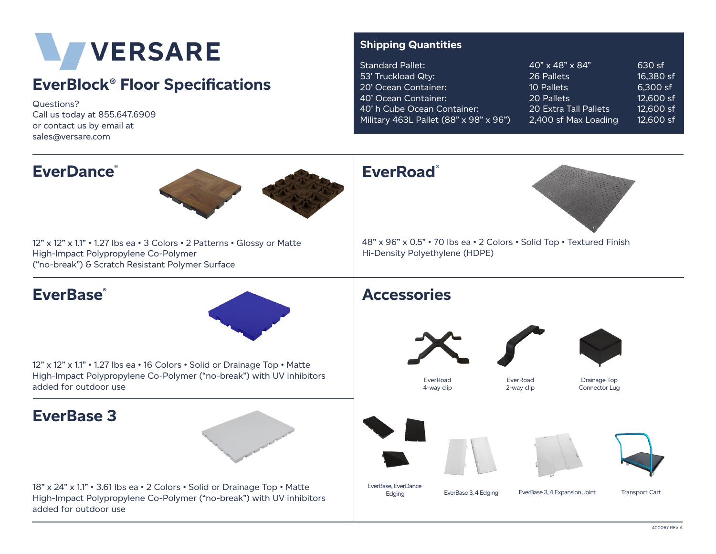

## **EverBlock® Floor Specifications**

Questions? Call us today at 855.647.6909 or contact us by email at sales@versare.com

## **Shipping Quantities**

| Standard Pallet:                       | 40" x 48" x 84"       | 630 sf    |
|----------------------------------------|-----------------------|-----------|
| 53' Truckload Qty:                     | 26 Pallets            | 16,380 sf |
| 20' Ocean Container:                   | 10 Pallets            | 6,300 sf  |
| 40' Ocean Container:                   | 20 Pallets            | 12,600 sf |
| 40' h Cube Ocean Container:            | 20 Extra Tall Pallets | 12,600 sf |
| Military 463L Pallet (88" x 98" x 96") | 2,400 sf Max Loading  | 12,600 sf |
|                                        |                       |           |

| <b>EverDance</b> ®                                                                                                                                                          | <b>EverRoad</b> ®                                                                                                                      |
|-----------------------------------------------------------------------------------------------------------------------------------------------------------------------------|----------------------------------------------------------------------------------------------------------------------------------------|
| 12" x 12" x 1.1" . 1.27 lbs ea . 3 Colors . 2 Patterns . Glossy or Matte<br>High-Impact Polypropylene Co-Polymer<br>("no-break") & Scratch Resistant Polymer Surface        | 48" x 96" x 0.5" • 70 lbs ea • 2 Colors • Solid Top • Textured Finish<br>Hi-Density Polyethylene (HDPE)                                |
| <b>EverBase</b> ®                                                                                                                                                           | <b>Accessories</b>                                                                                                                     |
| 12" x 12" x 1.1" . 1.27 lbs ea . 16 Colors . Solid or Drainage Top . Matte<br>High-Impact Polypropylene Co-Polymer ("no-break") with UV inhibitors<br>added for outdoor use | EverRoad<br>EverRoad<br>Drainage Top<br>4-way clip<br>2-way clip<br>Connector Lug                                                      |
| <b>EverBase 3</b>                                                                                                                                                           |                                                                                                                                        |
| 18" x 24" x 1.1" . 3.61 lbs ea . 2 Colors . Solid or Drainage Top . Matte<br>High-Impact Polypropylene Co-Polymer ("no-break") with UV inhibitors<br>added for outdoor use  | EverBase, EverDance<br>EverBase 3, 4 Expansion Joint<br>EverBase 3, 4 Edging<br><b>Transport Cart</b><br>Edging<br>100057 <sub>D</sub> |